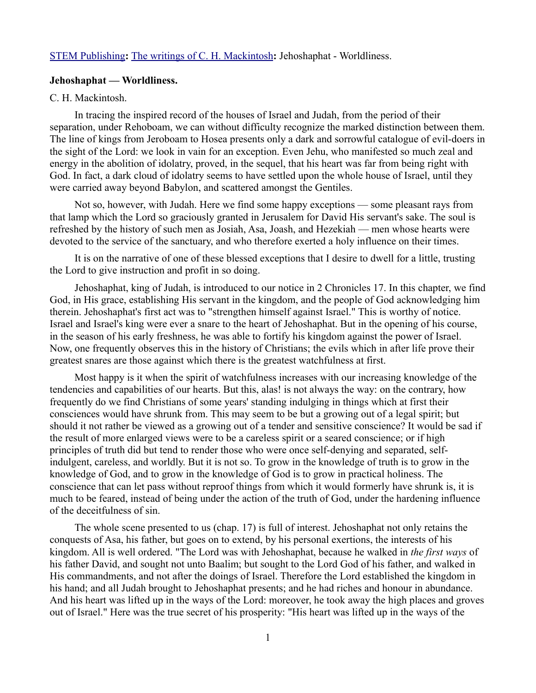## [STEM Publishing](http://www.stempublishing.com/)**:** [The writings of C. H. Mackintosh](http://www.stempublishing.com/authors/mackintosh/index.html)**:** Jehoshaphat - Worldliness.

## **Jehoshaphat — Worldliness.**

## C. H. Mackintosh.

In tracing the inspired record of the houses of Israel and Judah, from the period of their separation, under Rehoboam, we can without difficulty recognize the marked distinction between them. The line of kings from Jeroboam to Hosea presents only a dark and sorrowful catalogue of evil-doers in the sight of the Lord: we look in vain for an exception. Even Jehu, who manifested so much zeal and energy in the abolition of idolatry, proved, in the sequel, that his heart was far from being right with God. In fact, a dark cloud of idolatry seems to have settled upon the whole house of Israel, until they were carried away beyond Babylon, and scattered amongst the Gentiles.

Not so, however, with Judah. Here we find some happy exceptions — some pleasant rays from that lamp which the Lord so graciously granted in Jerusalem for David His servant's sake. The soul is refreshed by the history of such men as Josiah, Asa, Joash, and Hezekiah — men whose hearts were devoted to the service of the sanctuary, and who therefore exerted a holy influence on their times.

It is on the narrative of one of these blessed exceptions that I desire to dwell for a little, trusting the Lord to give instruction and profit in so doing.

Jehoshaphat, king of Judah, is introduced to our notice in 2 Chronicles 17. In this chapter, we find God, in His grace, establishing His servant in the kingdom, and the people of God acknowledging him therein. Jehoshaphat's first act was to "strengthen himself against Israel." This is worthy of notice. Israel and Israel's king were ever a snare to the heart of Jehoshaphat. But in the opening of his course, in the season of his early freshness, he was able to fortify his kingdom against the power of Israel. Now, one frequently observes this in the history of Christians; the evils which in after life prove their greatest snares are those against which there is the greatest watchfulness at first.

Most happy is it when the spirit of watchfulness increases with our increasing knowledge of the tendencies and capabilities of our hearts. But this, alas! is not always the way: on the contrary, how frequently do we find Christians of some years' standing indulging in things which at first their consciences would have shrunk from. This may seem to be but a growing out of a legal spirit; but should it not rather be viewed as a growing out of a tender and sensitive conscience? It would be sad if the result of more enlarged views were to be a careless spirit or a seared conscience; or if high principles of truth did but tend to render those who were once self-denying and separated, selfindulgent, careless, and worldly. But it is not so. To grow in the knowledge of truth is to grow in the knowledge of God, and to grow in the knowledge of God is to grow in practical holiness. The conscience that can let pass without reproof things from which it would formerly have shrunk is, it is much to be feared, instead of being under the action of the truth of God, under the hardening influence of the deceitfulness of sin.

The whole scene presented to us (chap. 17) is full of interest. Jehoshaphat not only retains the conquests of Asa, his father, but goes on to extend, by his personal exertions, the interests of his kingdom. All is well ordered. "The Lord was with Jehoshaphat, because he walked in *the first ways* of his father David, and sought not unto Baalim; but sought to the Lord God of his father, and walked in His commandments, and not after the doings of Israel. Therefore the Lord established the kingdom in his hand; and all Judah brought to Jehoshaphat presents; and he had riches and honour in abundance. And his heart was lifted up in the ways of the Lord: moreover, he took away the high places and groves out of Israel." Here was the true secret of his prosperity: "His heart was lifted up in the ways of the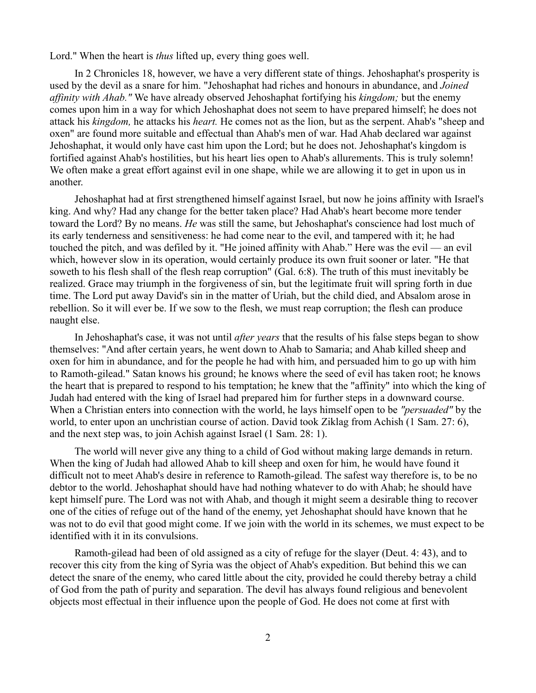Lord." When the heart is *thus* lifted up, every thing goes well.

In 2 Chronicles 18, however, we have a very different state of things. Jehoshaphat's prosperity is used by the devil as a snare for him. "Jehoshaphat had riches and honours in abundance, and *Joined affinity with Ahab."* We have already observed Jehoshaphat fortifying his *kingdom;* but the enemy comes upon him in a way for which Jehoshaphat does not seem to have prepared himself; he does not attack his *kingdom,* he attacks his *heart.* He comes not as the lion, but as the serpent. Ahab's "sheep and oxen" are found more suitable and effectual than Ahab's men of war. Had Ahab declared war against Jehoshaphat, it would only have cast him upon the Lord; but he does not. Jehoshaphat's kingdom is fortified against Ahab's hostilities, but his heart lies open to Ahab's allurements. This is truly solemn! We often make a great effort against evil in one shape, while we are allowing it to get in upon us in another.

Jehoshaphat had at first strengthened himself against Israel, but now he joins affinity with Israel's king. And why? Had any change for the better taken place? Had Ahab's heart become more tender toward the Lord? By no means. *He* was still the same, but Jehoshaphat's conscience had lost much of its early tenderness and sensitiveness: he had come near to the evil, and tampered with it; he had touched the pitch, and was defiled by it. "He joined affinity with Ahab." Here was the evil — an evil which, however slow in its operation, would certainly produce its own fruit sooner or later. "He that soweth to his flesh shall of the flesh reap corruption" (Gal. 6:8). The truth of this must inevitably be realized. Grace may triumph in the forgiveness of sin, but the legitimate fruit will spring forth in due time. The Lord put away David's sin in the matter of Uriah, but the child died, and Absalom arose in rebellion. So it will ever be. If we sow to the flesh, we must reap corruption; the flesh can produce naught else.

In Jehoshaphat's case, it was not until *after years* that the results of his false steps began to show themselves: "And after certain years, he went down to Ahab to Samaria; and Ahab killed sheep and oxen for him in abundance, and for the people he had with him, and persuaded him to go up with him to Ramoth-gilead." Satan knows his ground; he knows where the seed of evil has taken root; he knows the heart that is prepared to respond to his temptation; he knew that the "affinity" into which the king of Judah had entered with the king of Israel had prepared him for further steps in a downward course. When a Christian enters into connection with the world, he lays himself open to be *"persuaded"* by the world, to enter upon an unchristian course of action. David took Ziklag from Achish (1 Sam. 27: 6), and the next step was, to join Achish against Israel (1 Sam. 28: 1).

The world will never give any thing to a child of God without making large demands in return. When the king of Judah had allowed Ahab to kill sheep and oxen for him, he would have found it difficult not to meet Ahab's desire in reference to Ramoth-gilead. The safest way therefore is, to be no debtor to the world. Jehoshaphat should have had nothing whatever to do with Ahab; he should have kept himself pure. The Lord was not with Ahab, and though it might seem a desirable thing to recover one of the cities of refuge out of the hand of the enemy, yet Jehoshaphat should have known that he was not to do evil that good might come. If we join with the world in its schemes, we must expect to be identified with it in its convulsions.

Ramoth-gilead had been of old assigned as a city of refuge for the slayer (Deut. 4: 43), and to recover this city from the king of Syria was the object of Ahab's expedition. But behind this we can detect the snare of the enemy, who cared little about the city, provided he could thereby betray a child of God from the path of purity and separation. The devil has always found religious and benevolent objects most effectual in their influence upon the people of God. He does not come at first with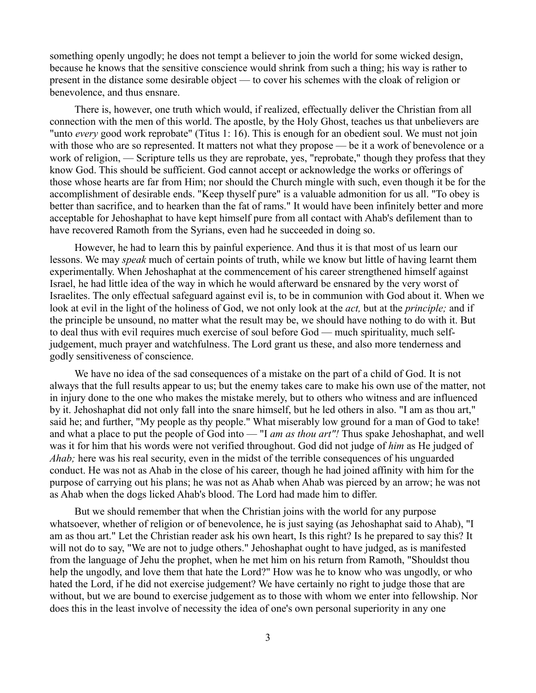something openly ungodly; he does not tempt a believer to join the world for some wicked design, because he knows that the sensitive conscience would shrink from such a thing; his way is rather to present in the distance some desirable object — to cover his schemes with the cloak of religion or benevolence, and thus ensnare.

There is, however, one truth which would, if realized, effectually deliver the Christian from all connection with the men of this world. The apostle, by the Holy Ghost, teaches us that unbelievers are "unto *every* good work reprobate" (Titus 1: 16). This is enough for an obedient soul. We must not join with those who are so represented. It matters not what they propose — be it a work of benevolence or a work of religion, — Scripture tells us they are reprobate, yes, "reprobate," though they profess that they know God. This should be sufficient. God cannot accept or acknowledge the works or offerings of those whose hearts are far from Him; nor should the Church mingle with such, even though it be for the accomplishment of desirable ends. "Keep thyself pure" is a valuable admonition for us all. "To obey is better than sacrifice, and to hearken than the fat of rams." It would have been infinitely better and more acceptable for Jehoshaphat to have kept himself pure from all contact with Ahab's defilement than to have recovered Ramoth from the Syrians, even had he succeeded in doing so.

However, he had to learn this by painful experience. And thus it is that most of us learn our lessons. We may *speak* much of certain points of truth, while we know but little of having learnt them experimentally. When Jehoshaphat at the commencement of his career strengthened himself against Israel, he had little idea of the way in which he would afterward be ensnared by the very worst of Israelites. The only effectual safeguard against evil is, to be in communion with God about it. When we look at evil in the light of the holiness of God, we not only look at the *act,* but at the *principle;* and if the principle be unsound, no matter what the result may be, we should have nothing to do with it. But to deal thus with evil requires much exercise of soul before God — much spirituality, much selfjudgement, much prayer and watchfulness. The Lord grant us these, and also more tenderness and godly sensitiveness of conscience.

We have no idea of the sad consequences of a mistake on the part of a child of God. It is not always that the full results appear to us; but the enemy takes care to make his own use of the matter, not in injury done to the one who makes the mistake merely, but to others who witness and are influenced by it. Jehoshaphat did not only fall into the snare himself, but he led others in also. "I am as thou art," said he; and further, "My people as thy people." What miserably low ground for a man of God to take! and what a place to put the people of God into — "I *am as thou art"!* Thus spake Jehoshaphat, and well was it for him that his words were not verified throughout. God did not judge of *him* as He judged of *Ahab*; here was his real security, even in the midst of the terrible consequences of his unguarded conduct. He was not as Ahab in the close of his career, though he had joined affinity with him for the purpose of carrying out his plans; he was not as Ahab when Ahab was pierced by an arrow; he was not as Ahab when the dogs licked Ahab's blood. The Lord had made him to differ.

But we should remember that when the Christian joins with the world for any purpose whatsoever, whether of religion or of benevolence, he is just saying (as Jehoshaphat said to Ahab), "I am as thou art." Let the Christian reader ask his own heart, Is this right? Is he prepared to say this? It will not do to say, "We are not to judge others." Jehoshaphat ought to have judged, as is manifested from the language of Jehu the prophet, when he met him on his return from Ramoth, "Shouldst thou help the ungodly, and love them that hate the Lord?" How was he to know who was ungodly, or who hated the Lord, if he did not exercise judgement? We have certainly no right to judge those that are without, but we are bound to exercise judgement as to those with whom we enter into fellowship. Nor does this in the least involve of necessity the idea of one's own personal superiority in any one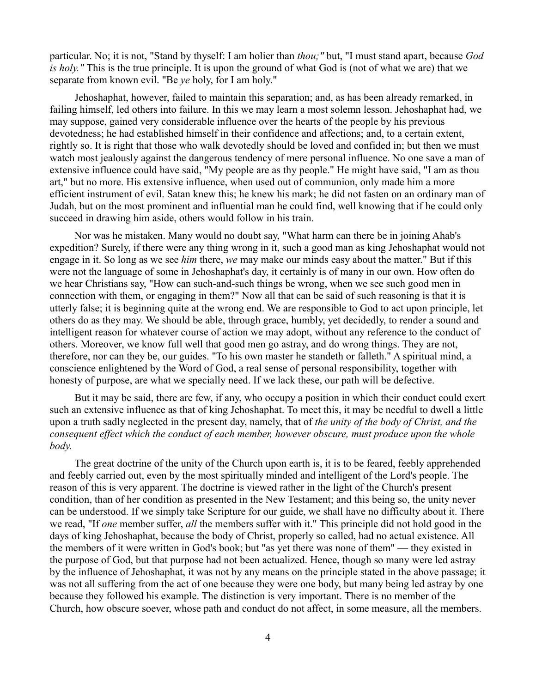particular. No; it is not, "Stand by thyself: I am holier than *thou;"* but, "I must stand apart, because *God is holy."* This is the true principle. It is upon the ground of what God is (not of what we are) that we separate from known evil. "Be *ye* holy, for I am holy."

Jehoshaphat, however, failed to maintain this separation; and, as has been already remarked, in failing himself, led others into failure. In this we may learn a most solemn lesson. Jehoshaphat had, we may suppose, gained very considerable influence over the hearts of the people by his previous devotedness; he had established himself in their confidence and affections; and, to a certain extent, rightly so. It is right that those who walk devotedly should be loved and confided in; but then we must watch most jealously against the dangerous tendency of mere personal influence. No one save a man of extensive influence could have said, "My people are as thy people." He might have said, "I am as thou art," but no more. His extensive influence, when used out of communion, only made him a more efficient instrument of evil. Satan knew this; he knew his mark; he did not fasten on an ordinary man of Judah, but on the most prominent and influential man he could find, well knowing that if he could only succeed in drawing him aside, others would follow in his train.

Nor was he mistaken. Many would no doubt say, "What harm can there be in joining Ahab's expedition? Surely, if there were any thing wrong in it, such a good man as king Jehoshaphat would not engage in it. So long as we see *him* there, *we* may make our minds easy about the matter." But if this were not the language of some in Jehoshaphat's day, it certainly is of many in our own. How often do we hear Christians say, "How can such-and-such things be wrong, when we see such good men in connection with them, or engaging in them?" Now all that can be said of such reasoning is that it is utterly false; it is beginning quite at the wrong end. We are responsible to God to act upon principle, let others do as they may. We should be able, through grace, humbly, yet decidedly, to render a sound and intelligent reason for whatever course of action we may adopt, without any reference to the conduct of others. Moreover, we know full well that good men go astray, and do wrong things. They are not, therefore, nor can they be, our guides. "To his own master he standeth or falleth." A spiritual mind, a conscience enlightened by the Word of God, a real sense of personal responsibility, together with honesty of purpose, are what we specially need. If we lack these, our path will be defective.

But it may be said, there are few, if any, who occupy a position in which their conduct could exert such an extensive influence as that of king Jehoshaphat. To meet this, it may be needful to dwell a little upon a truth sadly neglected in the present day, namely, that of *the unity of the body of Christ, and the consequent effect which the conduct of each member, however obscure, must produce upon the whole body.*

The great doctrine of the unity of the Church upon earth is, it is to be feared, feebly apprehended and feebly carried out, even by the most spiritually minded and intelligent of the Lord's people. The reason of this is very apparent. The doctrine is viewed rather in the light of the Church's present condition, than of her condition as presented in the New Testament; and this being so, the unity never can be understood. If we simply take Scripture for our guide, we shall have no difficulty about it. There we read, "If *one* member suffer, *all* the members suffer with it." This principle did not hold good in the days of king Jehoshaphat, because the body of Christ, properly so called, had no actual existence. All the members of it were written in God's book; but "as yet there was none of them" — they existed in the purpose of God, but that purpose had not been actualized. Hence, though so many were led astray by the influence of Jehoshaphat, it was not by any means on the principle stated in the above passage; it was not all suffering from the act of one because they were one body, but many being led astray by one because they followed his example. The distinction is very important. There is no member of the Church, how obscure soever, whose path and conduct do not affect, in some measure, all the members.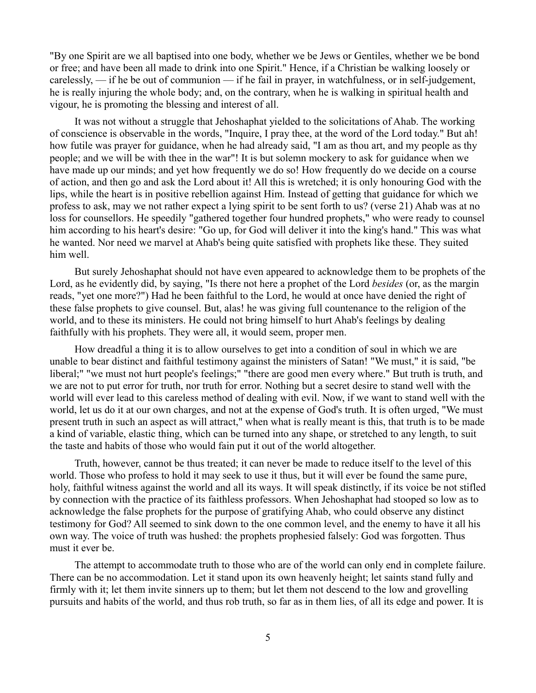"By one Spirit are we all baptised into one body, whether we be Jews or Gentiles, whether we be bond or free; and have been all made to drink into one Spirit." Hence, if a Christian be walking loosely or carelessly, — if he be out of communion — if he fail in prayer, in watchfulness, or in self-judgement, he is really injuring the whole body; and, on the contrary, when he is walking in spiritual health and vigour, he is promoting the blessing and interest of all.

It was not without a struggle that Jehoshaphat yielded to the solicitations of Ahab. The working of conscience is observable in the words, "Inquire, I pray thee, at the word of the Lord today." But ah! how futile was prayer for guidance, when he had already said, "I am as thou art, and my people as thy people; and we will be with thee in the war"! It is but solemn mockery to ask for guidance when we have made up our minds; and yet how frequently we do so! How frequently do we decide on a course of action, and then go and ask the Lord about it! All this is wretched; it is only honouring God with the lips, while the heart is in positive rebellion against Him. Instead of getting that guidance for which we profess to ask, may we not rather expect a lying spirit to be sent forth to us? (verse 21) Ahab was at no loss for counsellors. He speedily "gathered together four hundred prophets," who were ready to counsel him according to his heart's desire: "Go up, for God will deliver it into the king's hand." This was what he wanted. Nor need we marvel at Ahab's being quite satisfied with prophets like these. They suited him well.

But surely Jehoshaphat should not have even appeared to acknowledge them to be prophets of the Lord, as he evidently did, by saying, "Is there not here a prophet of the Lord *besides* (or, as the margin reads, "yet one more?") Had he been faithful to the Lord, he would at once have denied the right of these false prophets to give counsel. But, alas! he was giving full countenance to the religion of the world, and to these its ministers. He could not bring himself to hurt Ahab's feelings by dealing faithfully with his prophets. They were all, it would seem, proper men.

How dreadful a thing it is to allow ourselves to get into a condition of soul in which we are unable to bear distinct and faithful testimony against the ministers of Satan! "We must," it is said, "be liberal;" "we must not hurt people's feelings;" "there are good men every where." But truth is truth, and we are not to put error for truth, nor truth for error. Nothing but a secret desire to stand well with the world will ever lead to this careless method of dealing with evil. Now, if we want to stand well with the world, let us do it at our own charges, and not at the expense of God's truth. It is often urged, "We must present truth in such an aspect as will attract," when what is really meant is this, that truth is to be made a kind of variable, elastic thing, which can be turned into any shape, or stretched to any length, to suit the taste and habits of those who would fain put it out of the world altogether.

Truth, however, cannot be thus treated; it can never be made to reduce itself to the level of this world. Those who profess to hold it may seek to use it thus, but it will ever be found the same pure, holy, faithful witness against the world and all its ways. It will speak distinctly, if its voice be not stifled by connection with the practice of its faithless professors. When Jehoshaphat had stooped so low as to acknowledge the false prophets for the purpose of gratifying Ahab, who could observe any distinct testimony for God? All seemed to sink down to the one common level, and the enemy to have it all his own way. The voice of truth was hushed: the prophets prophesied falsely: God was forgotten. Thus must it ever be.

The attempt to accommodate truth to those who are of the world can only end in complete failure. There can be no accommodation. Let it stand upon its own heavenly height; let saints stand fully and firmly with it; let them invite sinners up to them; but let them not descend to the low and grovelling pursuits and habits of the world, and thus rob truth, so far as in them lies, of all its edge and power. It is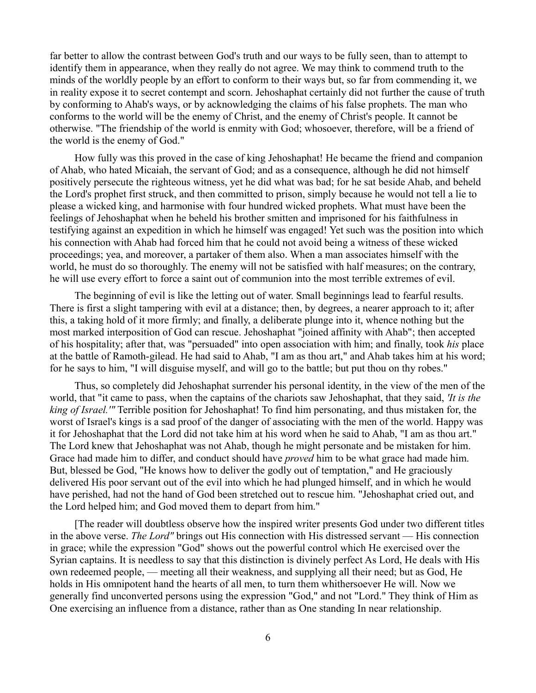far better to allow the contrast between God's truth and our ways to be fully seen, than to attempt to identify them in appearance, when they really do not agree. We may think to commend truth to the minds of the worldly people by an effort to conform to their ways but, so far from commending it, we in reality expose it to secret contempt and scorn. Jehoshaphat certainly did not further the cause of truth by conforming to Ahab's ways, or by acknowledging the claims of his false prophets. The man who conforms to the world will be the enemy of Christ, and the enemy of Christ's people. It cannot be otherwise. "The friendship of the world is enmity with God; whosoever, therefore, will be a friend of the world is the enemy of God."

How fully was this proved in the case of king Jehoshaphat! He became the friend and companion of Ahab, who hated Micaiah, the servant of God; and as a consequence, although he did not himself positively persecute the righteous witness, yet he did what was bad; for he sat beside Ahab, and beheld the Lord's prophet first struck, and then committed to prison, simply because he would not tell a lie to please a wicked king, and harmonise with four hundred wicked prophets. What must have been the feelings of Jehoshaphat when he beheld his brother smitten and imprisoned for his faithfulness in testifying against an expedition in which he himself was engaged! Yet such was the position into which his connection with Ahab had forced him that he could not avoid being a witness of these wicked proceedings; yea, and moreover, a partaker of them also. When a man associates himself with the world, he must do so thoroughly. The enemy will not be satisfied with half measures; on the contrary, he will use every effort to force a saint out of communion into the most terrible extremes of evil.

The beginning of evil is like the letting out of water. Small beginnings lead to fearful results. There is first a slight tampering with evil at a distance; then, by degrees, a nearer approach to it; after this, a taking hold of it more firmly; and finally, a deliberate plunge into it, whence nothing but the most marked interposition of God can rescue. Jehoshaphat "joined affinity with Ahab"; then accepted of his hospitality; after that, was "persuaded" into open association with him; and finally, took *his* place at the battle of Ramoth-gilead. He had said to Ahab, "I am as thou art," and Ahab takes him at his word; for he says to him, "I will disguise myself, and will go to the battle; but put thou on thy robes."

Thus, so completely did Jehoshaphat surrender his personal identity, in the view of the men of the world, that "it came to pass, when the captains of the chariots saw Jehoshaphat, that they said, *'It is the king of Israel.'"* Terrible position for Jehoshaphat! To find him personating, and thus mistaken for, the worst of Israel's kings is a sad proof of the danger of associating with the men of the world. Happy was it for Jehoshaphat that the Lord did not take him at his word when he said to Ahab, "I am as thou art." The Lord knew that Jehoshaphat was not Ahab, though he might personate and be mistaken for him. Grace had made him to differ, and conduct should have *proved* him to be what grace had made him. But, blessed be God, "He knows how to deliver the godly out of temptation," and He graciously delivered His poor servant out of the evil into which he had plunged himself, and in which he would have perished, had not the hand of God been stretched out to rescue him. "Jehoshaphat cried out, and the Lord helped him; and God moved them to depart from him."

[The reader will doubtless observe how the inspired writer presents God under two different titles in the above verse. *The Lord"* brings out His connection with His distressed servant — His connection in grace; while the expression "God" shows out the powerful control which He exercised over the Syrian captains. It is needless to say that this distinction is divinely perfect As Lord, He deals with His own redeemed people, — meeting all their weakness, and supplying all their need; but as God, He holds in His omnipotent hand the hearts of all men, to turn them whithersoever He will. Now we generally find unconverted persons using the expression "God," and not "Lord." They think of Him as One exercising an influence from a distance, rather than as One standing In near relationship.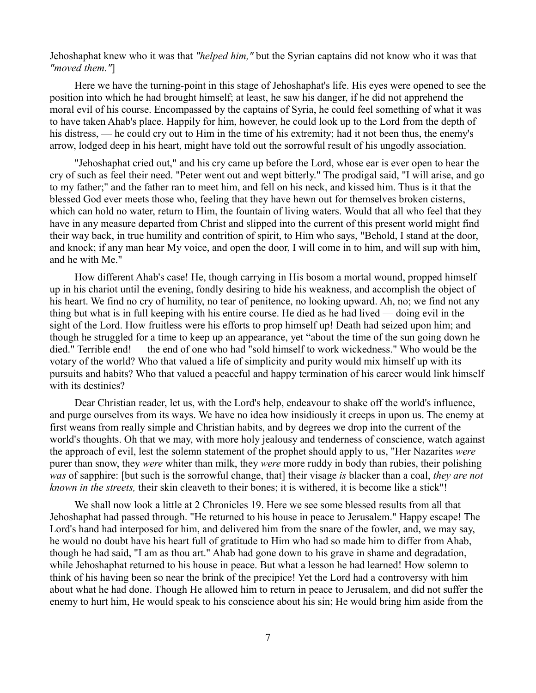Jehoshaphat knew who it was that *"helped him,"* but the Syrian captains did not know who it was that *"moved them."*]

Here we have the turning-point in this stage of Jehoshaphat's life. His eyes were opened to see the position into which he had brought himself; at least, he saw his danger, if he did not apprehend the moral evil of his course. Encompassed by the captains of Syria, he could feel something of what it was to have taken Ahab's place. Happily for him, however, he could look up to the Lord from the depth of his distress, — he could cry out to Him in the time of his extremity; had it not been thus, the enemy's arrow, lodged deep in his heart, might have told out the sorrowful result of his ungodly association.

"Jehoshaphat cried out," and his cry came up before the Lord, whose ear is ever open to hear the cry of such as feel their need. "Peter went out and wept bitterly." The prodigal said, "I will arise, and go to my father;" and the father ran to meet him, and fell on his neck, and kissed him. Thus is it that the blessed God ever meets those who, feeling that they have hewn out for themselves broken cisterns, which can hold no water, return to Him, the fountain of living waters. Would that all who feel that they have in any measure departed from Christ and slipped into the current of this present world might find their way back, in true humility and contrition of spirit, to Him who says, "Behold, I stand at the door, and knock; if any man hear My voice, and open the door, I will come in to him, and will sup with him, and he with Me."

How different Ahab's case! He, though carrying in His bosom a mortal wound, propped himself up in his chariot until the evening, fondly desiring to hide his weakness, and accomplish the object of his heart. We find no cry of humility, no tear of penitence, no looking upward. Ah, no; we find not any thing but what is in full keeping with his entire course. He died as he had lived — doing evil in the sight of the Lord. How fruitless were his efforts to prop himself up! Death had seized upon him; and though he struggled for a time to keep up an appearance, yet "about the time of the sun going down he died." Terrible end! — the end of one who had "sold himself to work wickedness." Who would be the votary of the world? Who that valued a life of simplicity and purity would mix himself up with its pursuits and habits? Who that valued a peaceful and happy termination of his career would link himself with its destinies?

Dear Christian reader, let us, with the Lord's help, endeavour to shake off the world's influence, and purge ourselves from its ways. We have no idea how insidiously it creeps in upon us. The enemy at first weans from really simple and Christian habits, and by degrees we drop into the current of the world's thoughts. Oh that we may, with more holy jealousy and tenderness of conscience, watch against the approach of evil, lest the solemn statement of the prophet should apply to us, "Her Nazarites *were* purer than snow, they *were* whiter than milk, they *were* more ruddy in body than rubies, their polishing *was* of sapphire: [but such is the sorrowful change, that] their visage *is* blacker than a coal, *they are not known in the streets,* their skin cleaveth to their bones; it is withered, it is become like a stick"!

We shall now look a little at 2 Chronicles 19. Here we see some blessed results from all that Jehoshaphat had passed through. "He returned to his house in peace to Jerusalem." Happy escape! The Lord's hand had interposed for him, and delivered him from the snare of the fowler, and, we may say, he would no doubt have his heart full of gratitude to Him who had so made him to differ from Ahab, though he had said, "I am as thou art." Ahab had gone down to his grave in shame and degradation, while Jehoshaphat returned to his house in peace. But what a lesson he had learned! How solemn to think of his having been so near the brink of the precipice! Yet the Lord had a controversy with him about what he had done. Though He allowed him to return in peace to Jerusalem, and did not suffer the enemy to hurt him, He would speak to his conscience about his sin; He would bring him aside from the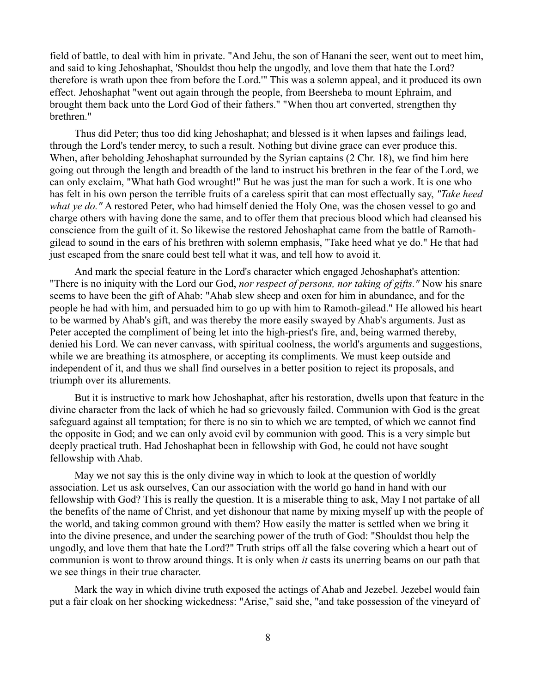field of battle, to deal with him in private. "And Jehu, the son of Hanani the seer, went out to meet him, and said to king Jehoshaphat, 'Shouldst thou help the ungodly, and love them that hate the Lord? therefore is wrath upon thee from before the Lord.'" This was a solemn appeal, and it produced its own effect. Jehoshaphat "went out again through the people, from Beersheba to mount Ephraim, and brought them back unto the Lord God of their fathers." "When thou art converted, strengthen thy brethren."

Thus did Peter; thus too did king Jehoshaphat; and blessed is it when lapses and failings lead, through the Lord's tender mercy, to such a result. Nothing but divine grace can ever produce this. When, after beholding Jehoshaphat surrounded by the Syrian captains (2 Chr. 18), we find him here going out through the length and breadth of the land to instruct his brethren in the fear of the Lord, we can only exclaim, "What hath God wrought!" But he was just the man for such a work. It is one who has felt in his own person the terrible fruits of a careless spirit that can most effectually say, *"Take heed what ye do."* A restored Peter, who had himself denied the Holy One, was the chosen vessel to go and charge others with having done the same, and to offer them that precious blood which had cleansed his conscience from the guilt of it. So likewise the restored Jehoshaphat came from the battle of Ramothgilead to sound in the ears of his brethren with solemn emphasis, "Take heed what ye do." He that had just escaped from the snare could best tell what it was, and tell how to avoid it.

And mark the special feature in the Lord's character which engaged Jehoshaphat's attention: "There is no iniquity with the Lord our God, *nor respect of persons, nor taking of gifts."* Now his snare seems to have been the gift of Ahab: "Ahab slew sheep and oxen for him in abundance, and for the people he had with him, and persuaded him to go up with him to Ramoth-gilead." He allowed his heart to be warmed by Ahab's gift, and was thereby the more easily swayed by Ahab's arguments. Just as Peter accepted the compliment of being let into the high-priest's fire, and, being warmed thereby, denied his Lord. We can never canvass, with spiritual coolness, the world's arguments and suggestions, while we are breathing its atmosphere, or accepting its compliments. We must keep outside and independent of it, and thus we shall find ourselves in a better position to reject its proposals, and triumph over its allurements.

But it is instructive to mark how Jehoshaphat, after his restoration, dwells upon that feature in the divine character from the lack of which he had so grievously failed. Communion with God is the great safeguard against all temptation; for there is no sin to which we are tempted, of which we cannot find the opposite in God; and we can only avoid evil by communion with good. This is a very simple but deeply practical truth. Had Jehoshaphat been in fellowship with God, he could not have sought fellowship with Ahab.

May we not say this is the only divine way in which to look at the question of worldly association. Let us ask ourselves, Can our association with the world go hand in hand with our fellowship with God? This is really the question. It is a miserable thing to ask, May I not partake of all the benefits of the name of Christ, and yet dishonour that name by mixing myself up with the people of the world, and taking common ground with them? How easily the matter is settled when we bring it into the divine presence, and under the searching power of the truth of God: "Shouldst thou help the ungodly, and love them that hate the Lord?" Truth strips off all the false covering which a heart out of communion is wont to throw around things. It is only when *it* casts its unerring beams on our path that we see things in their true character.

Mark the way in which divine truth exposed the actings of Ahab and Jezebel. Jezebel would fain put a fair cloak on her shocking wickedness: "Arise," said she, "and take possession of the vineyard of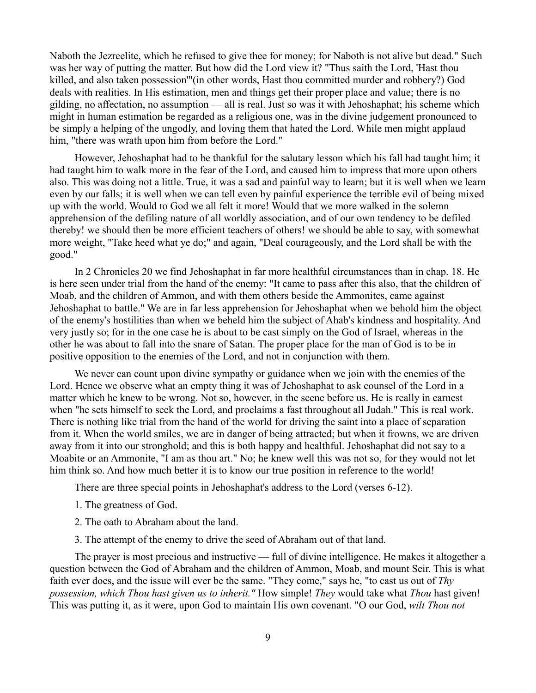Naboth the Jezreelite, which he refused to give thee for money; for Naboth is not alive but dead." Such was her way of putting the matter. But how did the Lord view it? "Thus saith the Lord, 'Hast thou killed, and also taken possession'"(in other words, Hast thou committed murder and robbery?) God deals with realities. In His estimation, men and things get their proper place and value; there is no gilding, no affectation, no assumption — all is real. Just so was it with Jehoshaphat; his scheme which might in human estimation be regarded as a religious one, was in the divine judgement pronounced to be simply a helping of the ungodly, and loving them that hated the Lord. While men might applaud him, "there was wrath upon him from before the Lord."

However, Jehoshaphat had to be thankful for the salutary lesson which his fall had taught him; it had taught him to walk more in the fear of the Lord, and caused him to impress that more upon others also. This was doing not a little. True, it was a sad and painful way to learn; but it is well when we learn even by our falls; it is well when we can tell even by painful experience the terrible evil of being mixed up with the world. Would to God we all felt it more! Would that we more walked in the solemn apprehension of the defiling nature of all worldly association, and of our own tendency to be defiled thereby! we should then be more efficient teachers of others! we should be able to say, with somewhat more weight, "Take heed what ye do;" and again, "Deal courageously, and the Lord shall be with the good."

In 2 Chronicles 20 we find Jehoshaphat in far more healthful circumstances than in chap. 18. He is here seen under trial from the hand of the enemy: "It came to pass after this also, that the children of Moab, and the children of Ammon, and with them others beside the Ammonites, came against Jehoshaphat to battle." We are in far less apprehension for Jehoshaphat when we behold him the object of the enemy's hostilities than when we beheld him the subject of Ahab's kindness and hospitality. And very justly so; for in the one case he is about to be cast simply on the God of Israel, whereas in the other he was about to fall into the snare of Satan. The proper place for the man of God is to be in positive opposition to the enemies of the Lord, and not in conjunction with them.

We never can count upon divine sympathy or guidance when we join with the enemies of the Lord. Hence we observe what an empty thing it was of Jehoshaphat to ask counsel of the Lord in a matter which he knew to be wrong. Not so, however, in the scene before us. He is really in earnest when "he sets himself to seek the Lord, and proclaims a fast throughout all Judah." This is real work. There is nothing like trial from the hand of the world for driving the saint into a place of separation from it. When the world smiles, we are in danger of being attracted; but when it frowns, we are driven away from it into our stronghold; and this is both happy and healthful. Jehoshaphat did not say to a Moabite or an Ammonite, "I am as thou art." No; he knew well this was not so, for they would not let him think so. And how much better it is to know our true position in reference to the world!

There are three special points in Jehoshaphat's address to the Lord (verses 6-12).

- 1. The greatness of God.
- 2. The oath to Abraham about the land.
- 3. The attempt of the enemy to drive the seed of Abraham out of that land.

The prayer is most precious and instructive — full of divine intelligence. He makes it altogether a question between the God of Abraham and the children of Ammon, Moab, and mount Seir. This is what faith ever does, and the issue will ever be the same. "They come," says he, "to cast us out of *Thy possession, which Thou hast given us to inherit."* How simple! *They* would take what *Thou* hast given! This was putting it, as it were, upon God to maintain His own covenant. "O our God, *wilt Thou not*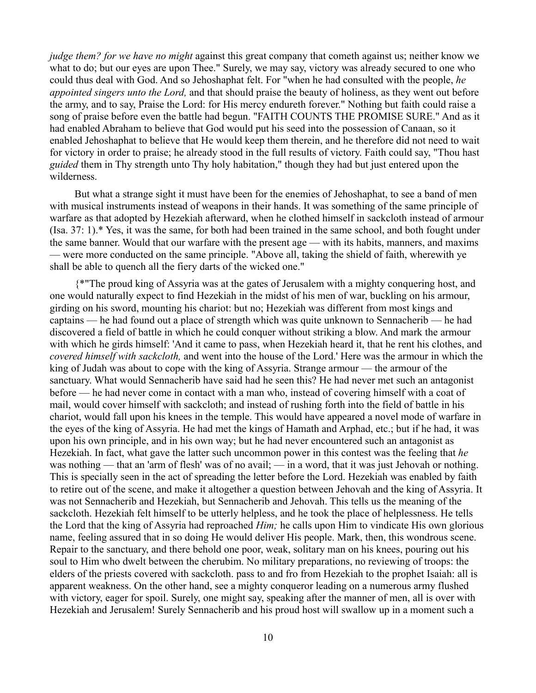*judge them? for we have no might* against this great company that cometh against us; neither know we what to do; but our eyes are upon Thee." Surely, we may say, victory was already secured to one who could thus deal with God. And so Jehoshaphat felt. For "when he had consulted with the people, *he appointed singers unto the Lord,* and that should praise the beauty of holiness, as they went out before the army, and to say, Praise the Lord: for His mercy endureth forever." Nothing but faith could raise a song of praise before even the battle had begun. "FAITH COUNTS THE PROMISE SURE." And as it had enabled Abraham to believe that God would put his seed into the possession of Canaan, so it enabled Jehoshaphat to believe that He would keep them therein, and he therefore did not need to wait for victory in order to praise; he already stood in the full results of victory. Faith could say, "Thou hast *guided* them in Thy strength unto Thy holy habitation," though they had but just entered upon the wilderness.

But what a strange sight it must have been for the enemies of Jehoshaphat, to see a band of men with musical instruments instead of weapons in their hands. It was something of the same principle of warfare as that adopted by Hezekiah afterward, when he clothed himself in sackcloth instead of armour (Isa. 37: 1).\* Yes, it was the same, for both had been trained in the same school, and both fought under the same banner. Would that our warfare with the present age — with its habits, manners, and maxims — were more conducted on the same principle. "Above all, taking the shield of faith, wherewith ye shall be able to quench all the fiery darts of the wicked one."

{\*"The proud king of Assyria was at the gates of Jerusalem with a mighty conquering host, and one would naturally expect to find Hezekiah in the midst of his men of war, buckling on his armour, girding on his sword, mounting his chariot: but no; Hezekiah was different from most kings and captains — he had found out a place of strength which was quite unknown to Sennacherib — he had discovered a field of battle in which he could conquer without striking a blow. And mark the armour with which he girds himself: 'And it came to pass, when Hezekiah heard it, that he rent his clothes, and *covered himself with sackcloth,* and went into the house of the Lord.' Here was the armour in which the king of Judah was about to cope with the king of Assyria. Strange armour — the armour of the sanctuary. What would Sennacherib have said had he seen this? He had never met such an antagonist before — he had never come in contact with a man who, instead of covering himself with a coat of mail, would cover himself with sackcloth; and instead of rushing forth into the field of battle in his chariot, would fall upon his knees in the temple. This would have appeared a novel mode of warfare in the eyes of the king of Assyria. He had met the kings of Hamath and Arphad, etc.; but if he had, it was upon his own principle, and in his own way; but he had never encountered such an antagonist as Hezekiah. In fact, what gave the latter such uncommon power in this contest was the feeling that *he* was nothing — that an 'arm of flesh' was of no avail; — in a word, that it was just Jehovah or nothing. This is specially seen in the act of spreading the letter before the Lord. Hezekiah was enabled by faith to retire out of the scene, and make it altogether a question between Jehovah and the king of Assyria. It was not Sennacherib and Hezekiah, but Sennacherib and Jehovah. This tells us the meaning of the sackcloth. Hezekiah felt himself to be utterly helpless, and he took the place of helplessness. He tells the Lord that the king of Assyria had reproached *Him;* he calls upon Him to vindicate His own glorious name, feeling assured that in so doing He would deliver His people. Mark, then, this wondrous scene. Repair to the sanctuary, and there behold one poor, weak, solitary man on his knees, pouring out his soul to Him who dwelt between the cherubim. No military preparations, no reviewing of troops: the elders of the priests covered with sackcloth. pass to and fro from Hezekiah to the prophet Isaiah: all is apparent weakness. On the other hand, see a mighty conqueror leading on a numerous army flushed with victory, eager for spoil. Surely, one might say, speaking after the manner of men, all is over with Hezekiah and Jerusalem! Surely Sennacherib and his proud host will swallow up in a moment such a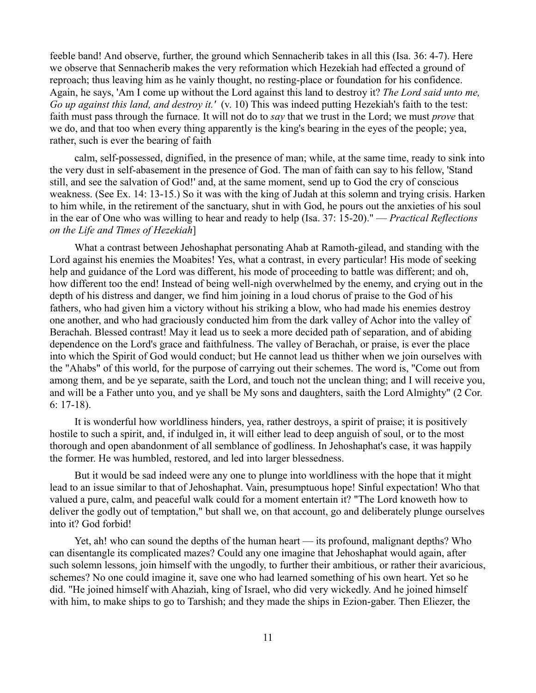feeble band! And observe, further, the ground which Sennacherib takes in all this (Isa. 36: 4-7). Here we observe that Sennacherib makes the very reformation which Hezekiah had effected a ground of reproach; thus leaving him as he vainly thought, no resting-place or foundation for his confidence. Again, he says, 'Am I come up without the Lord against this land to destroy it? *The Lord said unto me, Go up against this land, and destroy it.'* (v. 10) This was indeed putting Hezekiah's faith to the test: faith must pass through the furnace. It will not do to *say* that we trust in the Lord; we must *prove* that we do, and that too when every thing apparently is the king's bearing in the eyes of the people; yea, rather, such is ever the bearing of faith

calm, self-possessed, dignified, in the presence of man; while, at the same time, ready to sink into the very dust in self-abasement in the presence of God. The man of faith can say to his fellow, 'Stand still, and see the salvation of God!' and, at the same moment, send up to God the cry of conscious weakness. (See Ex. 14: 13-15.) So it was with the king of Judah at this solemn and trying crisis. Harken to him while, in the retirement of the sanctuary, shut in with God, he pours out the anxieties of his soul in the ear of One who was willing to hear and ready to help (Isa. 37: 15-20)." — *Practical Reflections on the Life and Times of Hezekiah*]

What a contrast between Jehoshaphat personating Ahab at Ramoth-gilead, and standing with the Lord against his enemies the Moabites! Yes, what a contrast, in every particular! His mode of seeking help and guidance of the Lord was different, his mode of proceeding to battle was different; and oh, how different too the end! Instead of being well-nigh overwhelmed by the enemy, and crying out in the depth of his distress and danger, we find him joining in a loud chorus of praise to the God of his fathers, who had given him a victory without his striking a blow, who had made his enemies destroy one another, and who had graciously conducted him from the dark valley of Achor into the valley of Berachah. Blessed contrast! May it lead us to seek a more decided path of separation, and of abiding dependence on the Lord's grace and faithfulness. The valley of Berachah, or praise, is ever the place into which the Spirit of God would conduct; but He cannot lead us thither when we join ourselves with the "Ahabs" of this world, for the purpose of carrying out their schemes. The word is, "Come out from among them, and be ye separate, saith the Lord, and touch not the unclean thing; and I will receive you, and will be a Father unto you, and ye shall be My sons and daughters, saith the Lord Almighty" (2 Cor. 6: 17-18).

It is wonderful how worldliness hinders, yea, rather destroys, a spirit of praise; it is positively hostile to such a spirit, and, if indulged in, it will either lead to deep anguish of soul, or to the most thorough and open abandonment of all semblance of godliness. In Jehoshaphat's case, it was happily the former. He was humbled, restored, and led into larger blessedness.

But it would be sad indeed were any one to plunge into worldliness with the hope that it might lead to an issue similar to that of Jehoshaphat. Vain, presumptuous hope! Sinful expectation! Who that valued a pure, calm, and peaceful walk could for a moment entertain it? "The Lord knoweth how to deliver the godly out of temptation," but shall we, on that account, go and deliberately plunge ourselves into it? God forbid!

Yet, ah! who can sound the depths of the human heart — its profound, malignant depths? Who can disentangle its complicated mazes? Could any one imagine that Jehoshaphat would again, after such solemn lessons, join himself with the ungodly, to further their ambitious, or rather their avaricious, schemes? No one could imagine it, save one who had learned something of his own heart. Yet so he did. "He joined himself with Ahaziah, king of Israel, who did very wickedly. And he joined himself with him, to make ships to go to Tarshish; and they made the ships in Ezion-gaber. Then Eliezer, the